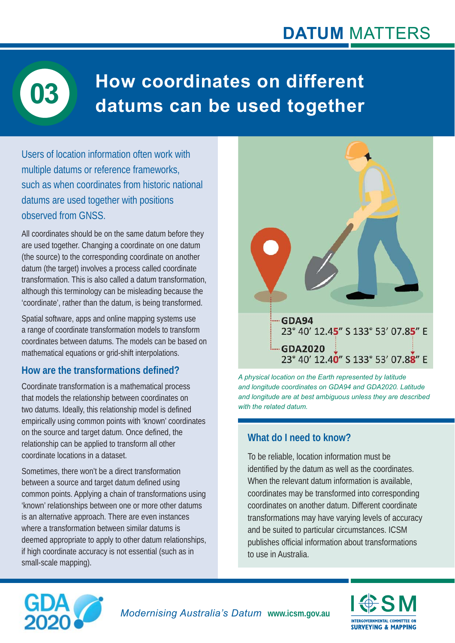# **How coordinates on different datums can be used together 03**

Users of location information often work with multiple datums or reference frameworks, such as when coordinates from historic national datums are used together with positions observed from GNSS.

All coordinates should be on the same datum before they are used together. Changing a coordinate on one datum (the source) to the corresponding coordinate on another datum (the target) involves a process called coordinate transformation. This is also called a datum transformation, although this terminology can be misleading because the 'coordinate', rather than the datum, is being transformed.

Spatial software, apps and online mapping systems use a range of coordinate transformation models to transform coordinates between datums. The models can be based on mathematical equations or grid-shift interpolations.

#### **How are the transformations defi ned?**

Coordinate transformation is a mathematical process that models the relationship between coordinates on two datums. Ideally, this relationship model is defined empirically using common points with 'known' coordinates on the source and target datum. Once defined, the relationship can be applied to transform all other coordinate locations in a dataset.

Sometimes, there won't be a direct transformation between a source and target datum defined using common points. Applying a chain of transformations using 'known' relationships between one or more other datums is an alternative approach. There are even instances where a transformation between similar datums is deemed appropriate to apply to other datum relationships, if high coordinate accuracy is not essential (such as in small-scale mapping).



*A physical location on the Earth represented by latitude and longitude coordinates on GDA94 and GDA2020. Latitude and longitude are at best ambiguous unless they are described with the related datum.*

### **What do I need to know?**

To be reliable, location information must be identified by the datum as well as the coordinates. When the relevant datum information is available. coordinates may be transformed into corresponding coordinates on another datum. Different coordinate transformations may have varying levels of accuracy and be suited to particular circumstances. ICSM publishes official information about transformations to use in Australia.